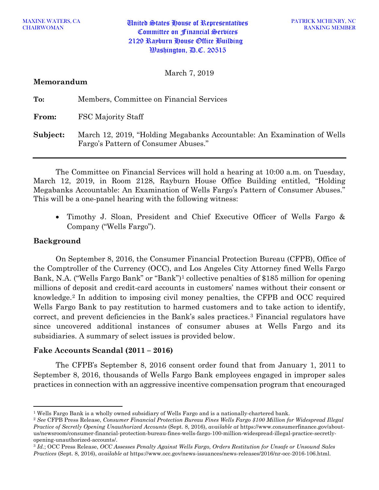March 7, 2019

## **Memorandum**

| To:          | Members, Committee on Financial Services                                                                        |
|--------------|-----------------------------------------------------------------------------------------------------------------|
| <b>From:</b> | FSC Majority Staff                                                                                              |
| Subject:     | March 12, 2019, "Holding Megabanks Accountable: An Examination of Wells<br>Fargo's Pattern of Consumer Abuses." |

The Committee on Financial Services will hold a hearing at 10:00 a.m. on Tuesday, March 12, 2019, in Room 2128, Rayburn House Office Building entitled, "Holding Megabanks Accountable: An Examination of Wells Fargo's Pattern of Consumer Abuses." This will be a one-panel hearing with the following witness:

• Timothy J. Sloan, President and Chief Executive Officer of Wells Fargo & Company ("Wells Fargo").

# **Background**

 $\overline{a}$ 

On September 8, 2016, the Consumer Financial Protection Bureau (CFPB), Office of the Comptroller of the Currency (OCC), and Los Angeles City Attorney fined Wells Fargo Bank, N.A. ("Wells Fargo Bank" or "Bank")[1](#page-0-0) collective penalties of \$185 million for opening millions of deposit and credit-card accounts in customers' names without their consent or knowledge.[2](#page-0-1) In addition to imposing civil money penalties, the CFPB and OCC required Wells Fargo Bank to pay restitution to harmed customers and to take action to identify, correct, and prevent deficiencies in the Bank's sales practices.[3](#page-0-2) Financial regulators have since uncovered additional instances of consumer abuses at Wells Fargo and its subsidiaries. A summary of select issues is provided below.

## **Fake Accounts Scandal (2011 – 2016)**

The CFPB's September 8, 2016 consent order found that from January 1, 2011 to September 8, 2016, thousands of Wells Fargo Bank employees engaged in improper sales practices in connection with an aggressive incentive compensation program that encouraged

<span id="page-0-0"></span><sup>1</sup> Wells Fargo Bank is a wholly owned subsidiary of Wells Fargo and is a nationally-chartered bank.

<span id="page-0-1"></span><sup>2</sup> *See* CFPB Press Release, *Consumer Financial Protection Bureau Fines Wells Fargo \$100 Million for Widespread Illegal Practice of Secretly Opening Unauthorized Accounts* (Sept. 8, 2016), *available at* https://www.consumerfinance.gov/aboutus/newsroom/consumer-financial-protection-bureau-fines-wells-fargo-100-million-widespread-illegal-practice-secretlyopening-unauthorized-accounts/.

<span id="page-0-2"></span><sup>3</sup> *Id.*; OCC Press Release, *OCC Assesses Penalty Against Wells Fargo, Orders Restitution for Unsafe or Unsound Sales Practices* (Sept. 8, 2016), *available at* https://www.occ.gov/news-issuances/news-releases/2016/nr-occ-2016-106.html.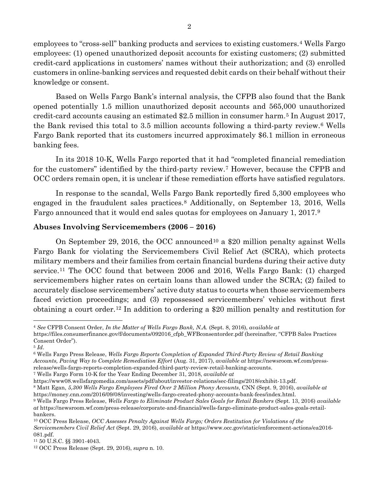employees to "cross-sell" banking products and services to existing customers.[4](#page-1-0) Wells Fargo employees: (1) opened unauthorized deposit accounts for existing customers; (2) submitted credit-card applications in customers' names without their authorization; and (3) enrolled customers in online-banking services and requested debit cards on their behalf without their knowledge or consent.

Based on Wells Fargo Bank's internal analysis, the CFPB also found that the Bank opened potentially 1.5 million unauthorized deposit accounts and 565,000 unauthorized credit-card accounts causing an estimated \$2.5 million in consumer harm.[5](#page-1-1) In August 2017, the Bank revised this total to 3.5 million accounts following a third-party review.[6](#page-1-2) Wells Fargo Bank reported that its customers incurred approximately \$6.1 million in erroneous banking fees.

In its 2018 10-K, Wells Fargo reported that it had "completed financial remediation for the customers" identified by the third-party review.<sup>[7](#page-1-3)</sup> However, because the CFPB and OCC orders remain open, it is unclear if these remediation efforts have satisfied regulators.

In response to the scandal, Wells Fargo Bank reportedly fired 5,300 employees who engaged in the fraudulent sales practices.[8](#page-1-4) Additionally, on September 13, 2016, Wells Fargo announced that it would end sales quotas for employees on January 1, 2017.[9](#page-1-5)

## **Abuses Involving Servicemembers (2006 – 2016)**

On September 29, 2016, the OCC announced[10](#page-1-6) a \$20 million penalty against Wells Fargo Bank for violating the Servicemembers Civil Relief Act (SCRA), which protects military members and their families from certain financial burdens during their active duty service.[11](#page-1-7) The OCC found that between 2006 and 2016, Wells Fargo Bank: (1) charged servicemembers higher rates on certain loans than allowed under the SCRA; (2) failed to accurately disclose servicemembers' active duty status to courts when those servicemembers faced eviction proceedings; and (3) repossessed servicemembers' vehicles without first obtaining a court order.[12](#page-1-8) In addition to ordering a \$20 million penalty and restitution for

l

<span id="page-1-3"></span><sup>7</sup> Wells Fargo Form 10-K for the Year Ending December 31, 2018, *available at*

<span id="page-1-0"></span><sup>4</sup> *See* CFPB Consent Order, *In the Matter of Wells Fargo Bank, N.A.* (Sept. 8, 2016), *available at* 

https://files.consumerfinance.gov/f/documents/092016\_cfpb\_WFBconsentorder.pdf (hereinafter, "CFPB Sales Practices Consent Order").

<span id="page-1-1"></span><sup>5</sup> *Id*.

<span id="page-1-2"></span><sup>6</sup> Wells Fargo Press Release, *Wells Fargo Reports Completion of Expanded Third-Party Review of Retail Banking Accounts, Paving Way to Complete Remediation Effort* (Aug. 31, 2017), *available at* https://newsroom.wf.com/pressrelease/wells-fargo-reports-completion-expanded-third-party-review-retail-banking-accounts.

https://www08.wellsfargomedia.com/assets/pdf/about/investor-relations/sec-filings/2018/exhibit-13.pdf.

<span id="page-1-4"></span><sup>8</sup> Matt Egan, *5,300 Wells Fargo Employees Fired Over 2 Million Phony Accounts*, CNN (Sept. 9, 2016), *available at*  https://money.cnn.com/2016/09/08/investing/wells-fargo-created-phony-accounts-bank-fees/index.html.

<span id="page-1-5"></span><sup>9</sup> Wells Fargo Press Release, *Wells Fargo to Eliminate Product Sales Goals for Retail Bankers* (Sept. 13, 2016) *available at* https://newsroom.wf.com/press-release/corporate-and-financial/wells-fargo-eliminate-product-sales-goals-retailbankers.

<span id="page-1-6"></span><sup>10</sup> OCC Press Release, *OCC Assesses Penalty Against Wells Fargo; Orders Restitution for Violations of the Servicemembers Civil Relief Act* (Sept. 29, 2016), *available at* https://www.occ.gov/static/enforcement-actions/ea2016- 081.pdf.

<span id="page-1-7"></span><sup>11</sup> 50 U.S.C. §§ 3901-4043.

<span id="page-1-8"></span><sup>12</sup> OCC Press Release (Sept. 29, 2016), *supra* n. 10.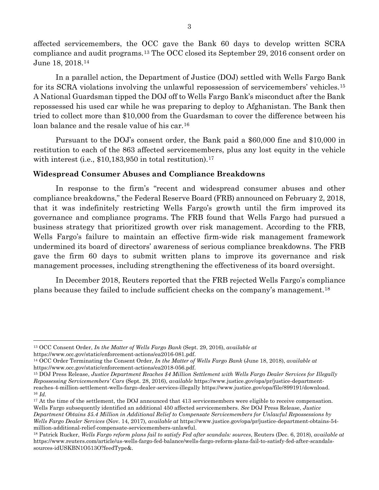affected servicemembers, the OCC gave the Bank 60 days to develop written SCRA compliance and audit programs.[13](#page-2-0) The OCC closed its September 29, 2016 consent order on June 18, 2018.[14](#page-2-1)

In a parallel action, the Department of Justice (DOJ) settled with Wells Fargo Bank for its SCRA violations involving the unlawful repossession of servicemembers' vehicles.[15](#page-2-2) A National Guardsman tipped the DOJ off to Wells Fargo Bank's misconduct after the Bank repossessed his used car while he was preparing to deploy to Afghanistan. The Bank then tried to collect more than \$10,000 from the Guardsman to cover the difference between his loan balance and the resale value of his car.[16](#page-2-3)

Pursuant to the DOJ's consent order, the Bank paid a \$60,000 fine and \$10,000 in restitution to each of the 863 affected servicemembers, plus any lost equity in the vehicle with interest (i.e.,  $$10,183,950$  in total restitution).<sup>[17](#page-2-4)</sup>

# **Widespread Consumer Abuses and Compliance Breakdowns**

In response to the firm's "recent and widespread consumer abuses and other compliance breakdowns," the Federal Reserve Board (FRB) announced on February 2, 2018, that it was indefinitely restricting Wells Fargo's growth until the firm improved its governance and compliance programs. The FRB found that Wells Fargo had pursued a business strategy that prioritized growth over risk management. According to the FRB, Wells Fargo's failure to maintain an effective firm-wide risk management framework undermined its board of directors' awareness of serious compliance breakdowns. The FRB gave the firm 60 days to submit written plans to improve its governance and risk management processes, including strengthening the effectiveness of its board oversight.

In December 2018, Reuters reported that the FRB rejected Wells Fargo's compliance plans because they failed to include sufficient checks on the company's management.[18](#page-2-5)

<span id="page-2-0"></span>l <sup>13</sup> OCC Consent Order, *In the Matter of Wells Fargo Bank* (Sept. 29, 2016), *available at*  https://www.occ.gov/static/enforcement-actions/ea2016-081.pdf.

<span id="page-2-1"></span><sup>14</sup> OCC Order Terminating the Consent Order, *In the Matter of Wells Fargo Bank* (June 18, 2018), *available at*  https://www.occ.gov/static/enforcement-actions/ea2018-056.pdf.

<span id="page-2-2"></span><sup>15</sup> DOJ Press Release, *Justice Department Reaches \$4 Million Settlement with Wells Fargo Dealer Services for Illegally Repossessing Servicemembers' Cars* (Sept. 28, 2016), *available* https://www.justice.gov/opa/pr/justice-departmentreaches-4-million-settlement-wells-fargo-dealer-services-illegally https://www.justice.gov/opa/file/899191/download. <sup>16</sup> *Id.*

<span id="page-2-4"></span><span id="page-2-3"></span><sup>&</sup>lt;sup>17</sup> At the time of the settlement, the DOJ announced that 413 servicemembers were eligible to receive compensation. Wells Fargo subsequently identified an additional 450 affected servicemembers. *See* DOJ Press Release, *Justice Department Obtains \$5.4 Million in Additional Relief to Compensate Servicemembers for Unlawful Repossessions by Wells Fargo Dealer Services* (Nov. 14, 2017), *available at* https://www.justice.gov/opa/pr/justice-department-obtains-54 million-additional-relief-compensate-servicemembers-unlawful.

<span id="page-2-5"></span><sup>18</sup> Patrick Rucker, *Wells Fargo reform plans fail to satisfy Fed after scandals: sources*, Reuters (Dec. 6, 2018), *available at*  https://www.reuters.com/article/us-wells-fargo-fed-balance/wells-fargo-reform-plans-fail-to-satisfy-fed-after-scandalssources-idUSKBN1O513O?feedType&.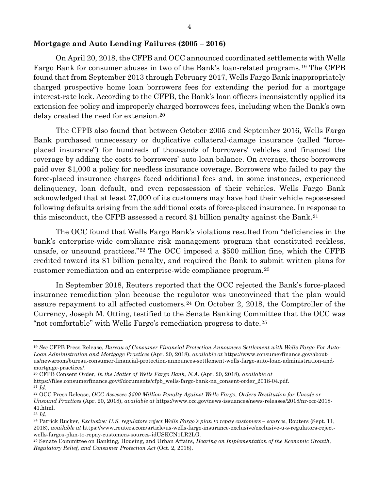#### **Mortgage and Auto Lending Failures (2005 – 2016)**

On April 20, 2018, the CFPB and OCC announced coordinated settlements with Wells Fargo Bank for consumer abuses in two of the Bank's loan-related programs.[19](#page-3-0) The CFPB found that from September 2013 through February 2017, Wells Fargo Bank inappropriately charged prospective home loan borrowers fees for extending the period for a mortgage interest-rate lock. According to the CFPB, the Bank's loan officers inconsistently applied its extension fee policy and improperly charged borrowers fees, including when the Bank's own delay created the need for extension.[20](#page-3-1)

The CFPB also found that between October 2005 and September 2016, Wells Fargo Bank purchased unnecessary or duplicative collateral-damage insurance (called "forceplaced insurance") for hundreds of thousands of borrowers' vehicles and financed the coverage by adding the costs to borrowers' auto-loan balance. On average, these borrowers paid over \$1,000 a policy for needless insurance coverage. Borrowers who failed to pay the force-placed insurance charges faced additional fees and, in some instances, experienced delinquency, loan default, and even repossession of their vehicles. Wells Fargo Bank acknowledged that at least 27,000 of its customers may have had their vehicle repossessed following defaults arising from the additional costs of force-placed insurance. In response to this misconduct, the CFPB assessed a record \$1 billion penalty against the Bank.[21](#page-3-2)

The OCC found that Wells Fargo Bank's violations resulted from "deficiencies in the bank's enterprise-wide compliance risk management program that constituted reckless, unsafe, or unsound practices."[22](#page-3-3) The OCC imposed a \$500 million fine, which the CFPB credited toward its \$1 billion penalty, and required the Bank to submit written plans for customer remediation and an enterprise-wide compliance program.[23](#page-3-4)

In September 2018, Reuters reported that the OCC rejected the Bank's force-placed insurance remediation plan because the regulator was unconvinced that the plan would assure repayment to all affected customers.<sup>[24](#page-3-5)</sup> On October 2, 2018, the Comptroller of the Currency, Joseph M. Otting, testified to the Senate Banking Committee that the OCC was "not comfortable" with Wells Fargo's remediation progress to date.[25](#page-3-6)

<span id="page-3-1"></span><sup>20</sup> CFPB Consent Order, *In the Matter of Wells Fargo Bank, N.A.* (Apr. 20, 2018), *available at* 

- https://files.consumerfinance.gov/f/documents/cfpb\_wells-fargo-bank-na\_consent-order\_2018-04.pdf.
- <sup>21</sup> *Id.*

l

*Unsound Practices* (Apr. 20, 2018), *available at* https://www.occ.gov/news-issuances/news-releases/2018/nr-occ-2018- 41.html.

<span id="page-3-0"></span><sup>19</sup> *See* CFPB Press Release, *Bureau of Consumer Financial Protection Announces Settlement with Wells Fargo For Auto-Loan Administration and Mortgage Practices* (Apr. 20, 2018), *available at* https://www.consumerfinance.gov/aboutus/newsroom/bureau-consumer-financial-protection-announces-settlement-wells-fargo-auto-loan-administration-andmortgage-practices/.

<span id="page-3-3"></span><span id="page-3-2"></span><sup>22</sup> OCC Press Release, *OCC Assesses \$500 Million Penalty Against Wells Fargo, Orders Restitution for Unsafe or* 

<span id="page-3-4"></span><sup>23</sup> *Id.*

<span id="page-3-5"></span><sup>24</sup> Patrick Rucker, *Exclusive: U.S. regulators reject Wells Fargo's plan to repay customers – sources*, Routers (Sept. 11, 2018), *available at* https://www.reuters.com/article/us-wells-fargo-insurance-exclusive/exclusive-u-s-regulators-rejectwells-fargos-plan-to-repay-customers-sources-idUSKCN1LR2LG.

<span id="page-3-6"></span><sup>25</sup> Senate Committee on Banking, Housing, and Urban Affairs, *Hearing on Implementation of the Economic Growth, Regulatory Relief, and Consumer Protection Act* (Oct. 2, 2018).